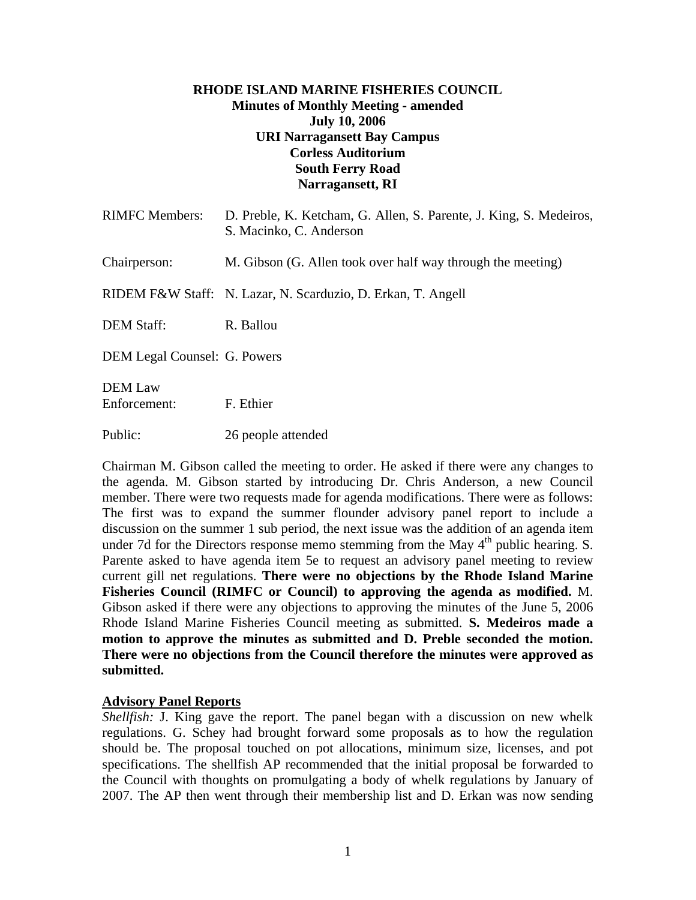## **RHODE ISLAND MARINE FISHERIES COUNCIL Minutes of Monthly Meeting - amended July 10, 2006 URI Narragansett Bay Campus Corless Auditorium South Ferry Road Narragansett, RI**

| <b>RIMFC Members:</b>          | D. Preble, K. Ketcham, G. Allen, S. Parente, J. King, S. Medeiros,<br>S. Macinko, C. Anderson |
|--------------------------------|-----------------------------------------------------------------------------------------------|
| Chairperson:                   | M. Gibson (G. Allen took over half way through the meeting)                                   |
|                                | RIDEM F&W Staff: N. Lazar, N. Scarduzio, D. Erkan, T. Angell                                  |
| <b>DEM Staff:</b>              | R. Ballou                                                                                     |
| DEM Legal Counsel: G. Powers   |                                                                                               |
| <b>DEM Law</b><br>Enforcement: | F. Ethier                                                                                     |
| Public:                        | 26 people attended                                                                            |

Chairman M. Gibson called the meeting to order. He asked if there were any changes to the agenda. M. Gibson started by introducing Dr. Chris Anderson, a new Council member. There were two requests made for agenda modifications. There were as follows: The first was to expand the summer flounder advisory panel report to include a discussion on the summer 1 sub period, the next issue was the addition of an agenda item under 7d for the Directors response memo stemming from the May  $4<sup>th</sup>$  public hearing. S. Parente asked to have agenda item 5e to request an advisory panel meeting to review current gill net regulations. **There were no objections by the Rhode Island Marine Fisheries Council (RIMFC or Council) to approving the agenda as modified.** M. Gibson asked if there were any objections to approving the minutes of the June 5, 2006 Rhode Island Marine Fisheries Council meeting as submitted. **S. Medeiros made a motion to approve the minutes as submitted and D. Preble seconded the motion. There were no objections from the Council therefore the minutes were approved as submitted.** 

### **Advisory Panel Reports**

*Shellfish:* J. King gave the report. The panel began with a discussion on new whelk regulations. G. Schey had brought forward some proposals as to how the regulation should be. The proposal touched on pot allocations, minimum size, licenses, and pot specifications. The shellfish AP recommended that the initial proposal be forwarded to the Council with thoughts on promulgating a body of whelk regulations by January of 2007. The AP then went through their membership list and D. Erkan was now sending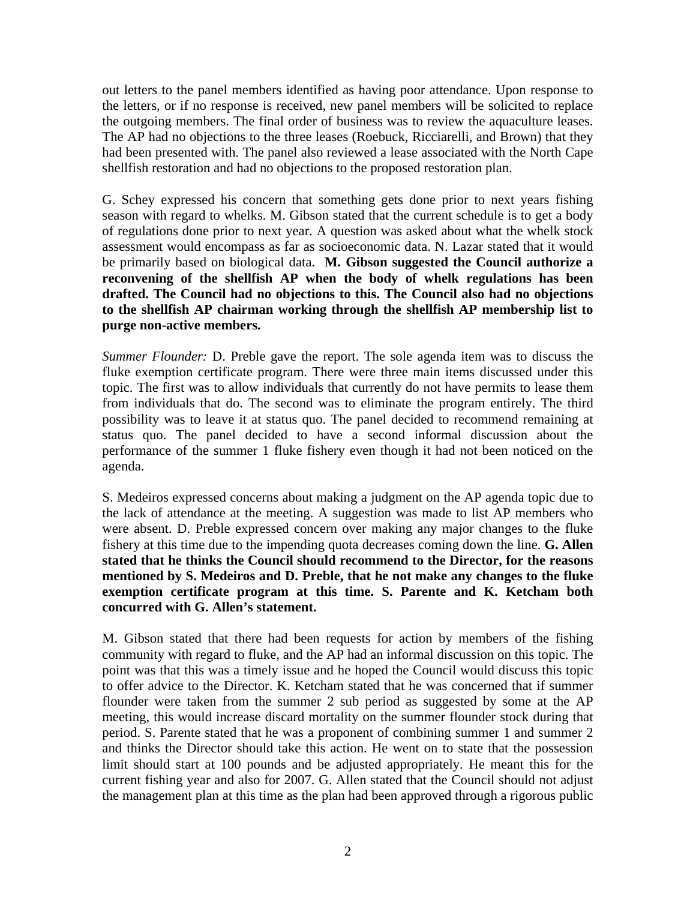out letters to the panel members identified as having poor attendance. Upon response to the letters, or if no response is received, new panel members will be solicited to replace the outgoing members. The final order of business was to review the aquaculture leases. The AP had no objections to the three leases (Roebuck, Ricciarelli, and Brown) that they had been presented with. The panel also reviewed a lease associated with the North Cape shellfish restoration and had no objections to the proposed restoration plan.

G. Schey expressed his concern that something gets done prior to next years fishing season with regard to whelks. M. Gibson stated that the current schedule is to get a body of regulations done prior to next year. A question was asked about what the whelk stock assessment would encompass as far as socioeconomic data. N. Lazar stated that it would be primarily based on biological data. **M. Gibson suggested the Council authorize a reconvening of the shellfish AP when the body of whelk regulations has been drafted. The Council had no objections to this. The Council also had no objections to the shellfish AP chairman working through the shellfish AP membership list to purge non-active members.**

*Summer Flounder:* D. Preble gave the report. The sole agenda item was to discuss the fluke exemption certificate program. There were three main items discussed under this topic. The first was to allow individuals that currently do not have permits to lease them from individuals that do. The second was to eliminate the program entirely. The third possibility was to leave it at status quo. The panel decided to recommend remaining at status quo. The panel decided to have a second informal discussion about the performance of the summer 1 fluke fishery even though it had not been noticed on the agenda.

S. Medeiros expressed concerns about making a judgment on the AP agenda topic due to the lack of attendance at the meeting. A suggestion was made to list AP members who were absent. D. Preble expressed concern over making any major changes to the fluke fishery at this time due to the impending quota decreases coming down the line. **G. Allen stated that he thinks the Council should recommend to the Director, for the reasons mentioned by S. Medeiros and D. Preble, that he not make any changes to the fluke exemption certificate program at this time. S. Parente and K. Ketcham both concurred with G. Allen's statement.** 

M. Gibson stated that there had been requests for action by members of the fishing community with regard to fluke, and the AP had an informal discussion on this topic. The point was that this was a timely issue and he hoped the Council would discuss this topic to offer advice to the Director. K. Ketcham stated that he was concerned that if summer flounder were taken from the summer 2 sub period as suggested by some at the AP meeting, this would increase discard mortality on the summer flounder stock during that period. S. Parente stated that he was a proponent of combining summer 1 and summer 2 and thinks the Director should take this action. He went on to state that the possession limit should start at 100 pounds and be adjusted appropriately. He meant this for the current fishing year and also for 2007. G. Allen stated that the Council should not adjust the management plan at this time as the plan had been approved through a rigorous public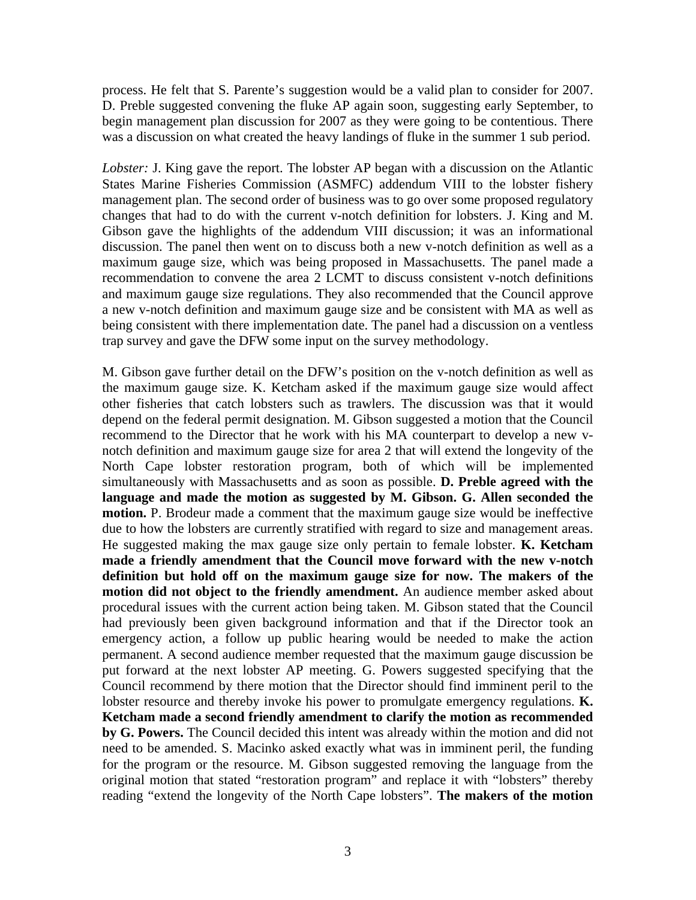process. He felt that S. Parente's suggestion would be a valid plan to consider for 2007. D. Preble suggested convening the fluke AP again soon, suggesting early September, to begin management plan discussion for 2007 as they were going to be contentious. There was a discussion on what created the heavy landings of fluke in the summer 1 sub period.

*Lobster:* J. King gave the report. The lobster AP began with a discussion on the Atlantic States Marine Fisheries Commission (ASMFC) addendum VIII to the lobster fishery management plan. The second order of business was to go over some proposed regulatory changes that had to do with the current v-notch definition for lobsters. J. King and M. Gibson gave the highlights of the addendum VIII discussion; it was an informational discussion. The panel then went on to discuss both a new v-notch definition as well as a maximum gauge size, which was being proposed in Massachusetts. The panel made a recommendation to convene the area 2 LCMT to discuss consistent v-notch definitions and maximum gauge size regulations. They also recommended that the Council approve a new v-notch definition and maximum gauge size and be consistent with MA as well as being consistent with there implementation date. The panel had a discussion on a ventless trap survey and gave the DFW some input on the survey methodology.

M. Gibson gave further detail on the DFW's position on the v-notch definition as well as the maximum gauge size. K. Ketcham asked if the maximum gauge size would affect other fisheries that catch lobsters such as trawlers. The discussion was that it would depend on the federal permit designation. M. Gibson suggested a motion that the Council recommend to the Director that he work with his MA counterpart to develop a new vnotch definition and maximum gauge size for area 2 that will extend the longevity of the North Cape lobster restoration program, both of which will be implemented simultaneously with Massachusetts and as soon as possible. **D. Preble agreed with the language and made the motion as suggested by M. Gibson. G. Allen seconded the motion.** P. Brodeur made a comment that the maximum gauge size would be ineffective due to how the lobsters are currently stratified with regard to size and management areas. He suggested making the max gauge size only pertain to female lobster. **K. Ketcham made a friendly amendment that the Council move forward with the new v-notch definition but hold off on the maximum gauge size for now. The makers of the motion did not object to the friendly amendment.** An audience member asked about procedural issues with the current action being taken. M. Gibson stated that the Council had previously been given background information and that if the Director took an emergency action, a follow up public hearing would be needed to make the action permanent. A second audience member requested that the maximum gauge discussion be put forward at the next lobster AP meeting. G. Powers suggested specifying that the Council recommend by there motion that the Director should find imminent peril to the lobster resource and thereby invoke his power to promulgate emergency regulations. **K. Ketcham made a second friendly amendment to clarify the motion as recommended by G. Powers.** The Council decided this intent was already within the motion and did not need to be amended. S. Macinko asked exactly what was in imminent peril, the funding for the program or the resource. M. Gibson suggested removing the language from the original motion that stated "restoration program" and replace it with "lobsters" thereby reading "extend the longevity of the North Cape lobsters". **The makers of the motion**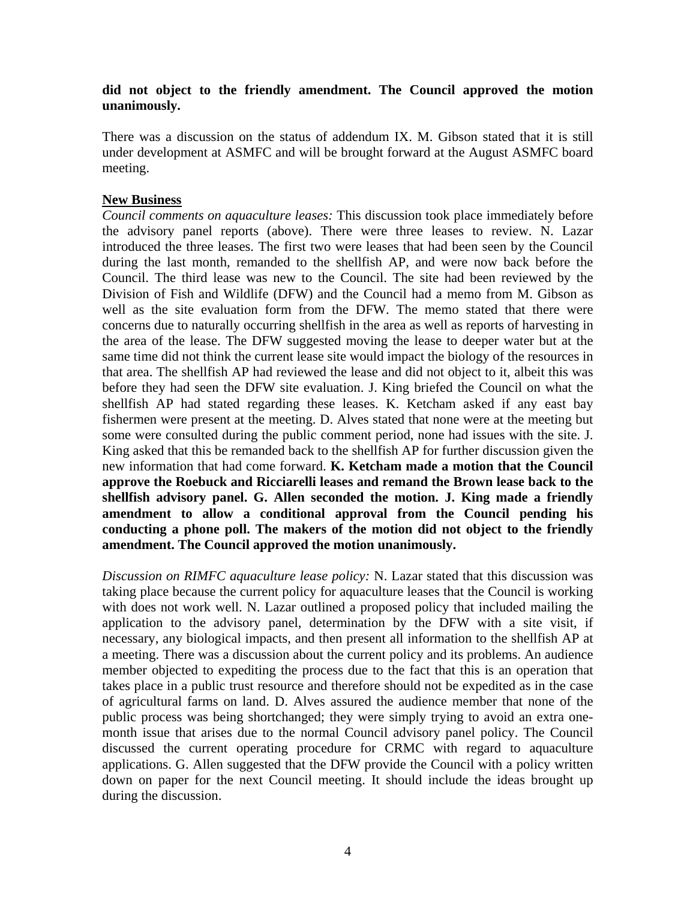### **did not object to the friendly amendment. The Council approved the motion unanimously.**

There was a discussion on the status of addendum IX. M. Gibson stated that it is still under development at ASMFC and will be brought forward at the August ASMFC board meeting.

## **New Business**

*Council comments on aquaculture leases:* This discussion took place immediately before the advisory panel reports (above). There were three leases to review. N. Lazar introduced the three leases. The first two were leases that had been seen by the Council during the last month, remanded to the shellfish AP, and were now back before the Council. The third lease was new to the Council. The site had been reviewed by the Division of Fish and Wildlife (DFW) and the Council had a memo from M. Gibson as well as the site evaluation form from the DFW. The memo stated that there were concerns due to naturally occurring shellfish in the area as well as reports of harvesting in the area of the lease. The DFW suggested moving the lease to deeper water but at the same time did not think the current lease site would impact the biology of the resources in that area. The shellfish AP had reviewed the lease and did not object to it, albeit this was before they had seen the DFW site evaluation. J. King briefed the Council on what the shellfish AP had stated regarding these leases. K. Ketcham asked if any east bay fishermen were present at the meeting. D. Alves stated that none were at the meeting but some were consulted during the public comment period, none had issues with the site. J. King asked that this be remanded back to the shellfish AP for further discussion given the new information that had come forward. **K. Ketcham made a motion that the Council approve the Roebuck and Ricciarelli leases and remand the Brown lease back to the shellfish advisory panel. G. Allen seconded the motion. J. King made a friendly amendment to allow a conditional approval from the Council pending his conducting a phone poll. The makers of the motion did not object to the friendly amendment. The Council approved the motion unanimously.**

*Discussion on RIMFC aquaculture lease policy:* N. Lazar stated that this discussion was taking place because the current policy for aquaculture leases that the Council is working with does not work well. N. Lazar outlined a proposed policy that included mailing the application to the advisory panel, determination by the DFW with a site visit, if necessary, any biological impacts, and then present all information to the shellfish AP at a meeting. There was a discussion about the current policy and its problems. An audience member objected to expediting the process due to the fact that this is an operation that takes place in a public trust resource and therefore should not be expedited as in the case of agricultural farms on land. D. Alves assured the audience member that none of the public process was being shortchanged; they were simply trying to avoid an extra onemonth issue that arises due to the normal Council advisory panel policy. The Council discussed the current operating procedure for CRMC with regard to aquaculture applications. G. Allen suggested that the DFW provide the Council with a policy written down on paper for the next Council meeting. It should include the ideas brought up during the discussion.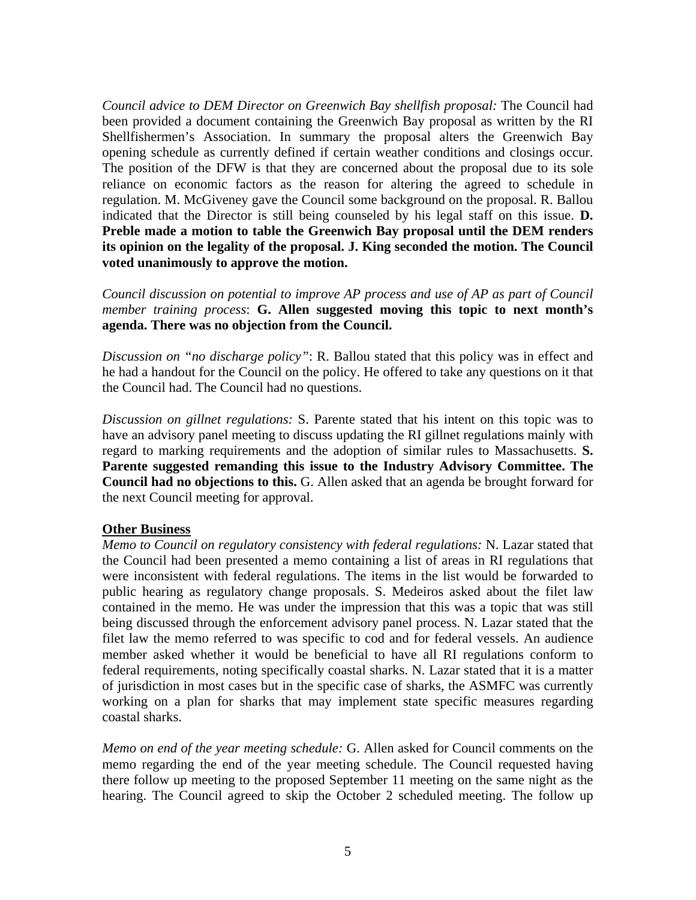*Council advice to DEM Director on Greenwich Bay shellfish proposal:* The Council had been provided a document containing the Greenwich Bay proposal as written by the RI Shellfishermen's Association. In summary the proposal alters the Greenwich Bay opening schedule as currently defined if certain weather conditions and closings occur. The position of the DFW is that they are concerned about the proposal due to its sole reliance on economic factors as the reason for altering the agreed to schedule in regulation. M. McGiveney gave the Council some background on the proposal. R. Ballou indicated that the Director is still being counseled by his legal staff on this issue. **D. Preble made a motion to table the Greenwich Bay proposal until the DEM renders its opinion on the legality of the proposal. J. King seconded the motion. The Council voted unanimously to approve the motion.**

*Council discussion on potential to improve AP process and use of AP as part of Council member training process*: **G. Allen suggested moving this topic to next month's agenda. There was no objection from the Council.**

*Discussion on "no discharge policy"*: R. Ballou stated that this policy was in effect and he had a handout for the Council on the policy. He offered to take any questions on it that the Council had. The Council had no questions.

*Discussion on gillnet regulations:* S. Parente stated that his intent on this topic was to have an advisory panel meeting to discuss updating the RI gillnet regulations mainly with regard to marking requirements and the adoption of similar rules to Massachusetts. **S. Parente suggested remanding this issue to the Industry Advisory Committee. The Council had no objections to this.** G. Allen asked that an agenda be brought forward for the next Council meeting for approval.

# **Other Business**

*Memo to Council on regulatory consistency with federal regulations:* N. Lazar stated that the Council had been presented a memo containing a list of areas in RI regulations that were inconsistent with federal regulations. The items in the list would be forwarded to public hearing as regulatory change proposals. S. Medeiros asked about the filet law contained in the memo. He was under the impression that this was a topic that was still being discussed through the enforcement advisory panel process. N. Lazar stated that the filet law the memo referred to was specific to cod and for federal vessels. An audience member asked whether it would be beneficial to have all RI regulations conform to federal requirements, noting specifically coastal sharks. N. Lazar stated that it is a matter of jurisdiction in most cases but in the specific case of sharks, the ASMFC was currently working on a plan for sharks that may implement state specific measures regarding coastal sharks.

*Memo on end of the year meeting schedule:* G. Allen asked for Council comments on the memo regarding the end of the year meeting schedule. The Council requested having there follow up meeting to the proposed September 11 meeting on the same night as the hearing. The Council agreed to skip the October 2 scheduled meeting. The follow up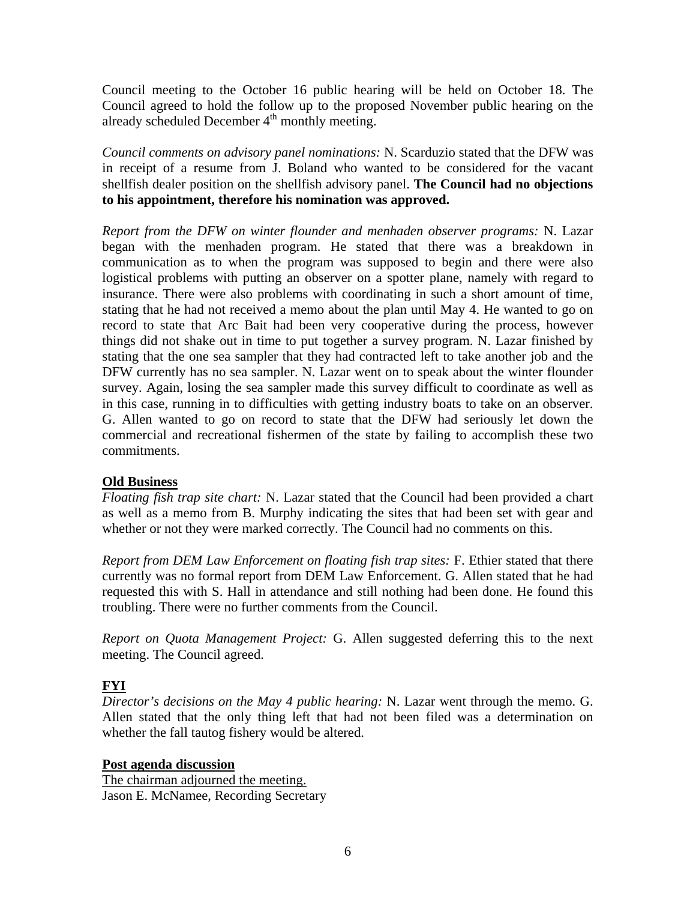Council meeting to the October 16 public hearing will be held on October 18. The Council agreed to hold the follow up to the proposed November public hearing on the already scheduled December  $4<sup>th</sup>$  monthly meeting.

*Council comments on advisory panel nominations:* N. Scarduzio stated that the DFW was in receipt of a resume from J. Boland who wanted to be considered for the vacant shellfish dealer position on the shellfish advisory panel. **The Council had no objections to his appointment, therefore his nomination was approved.**

*Report from the DFW on winter flounder and menhaden observer programs:* N. Lazar began with the menhaden program. He stated that there was a breakdown in communication as to when the program was supposed to begin and there were also logistical problems with putting an observer on a spotter plane, namely with regard to insurance. There were also problems with coordinating in such a short amount of time, stating that he had not received a memo about the plan until May 4. He wanted to go on record to state that Arc Bait had been very cooperative during the process, however things did not shake out in time to put together a survey program. N. Lazar finished by stating that the one sea sampler that they had contracted left to take another job and the DFW currently has no sea sampler. N. Lazar went on to speak about the winter flounder survey. Again, losing the sea sampler made this survey difficult to coordinate as well as in this case, running in to difficulties with getting industry boats to take on an observer. G. Allen wanted to go on record to state that the DFW had seriously let down the commercial and recreational fishermen of the state by failing to accomplish these two commitments.

# **Old Business**

*Floating fish trap site chart:* N. Lazar stated that the Council had been provided a chart as well as a memo from B. Murphy indicating the sites that had been set with gear and whether or not they were marked correctly. The Council had no comments on this.

*Report from DEM Law Enforcement on floating fish trap sites:* F. Ethier stated that there currently was no formal report from DEM Law Enforcement. G. Allen stated that he had requested this with S. Hall in attendance and still nothing had been done. He found this troubling. There were no further comments from the Council.

*Report on Quota Management Project:* G. Allen suggested deferring this to the next meeting. The Council agreed.

# **FYI**

*Director's decisions on the May 4 public hearing:* N. Lazar went through the memo. G. Allen stated that the only thing left that had not been filed was a determination on whether the fall tautog fishery would be altered.

**Post agenda discussion**

The chairman adjourned the meeting. Jason E. McNamee, Recording Secretary